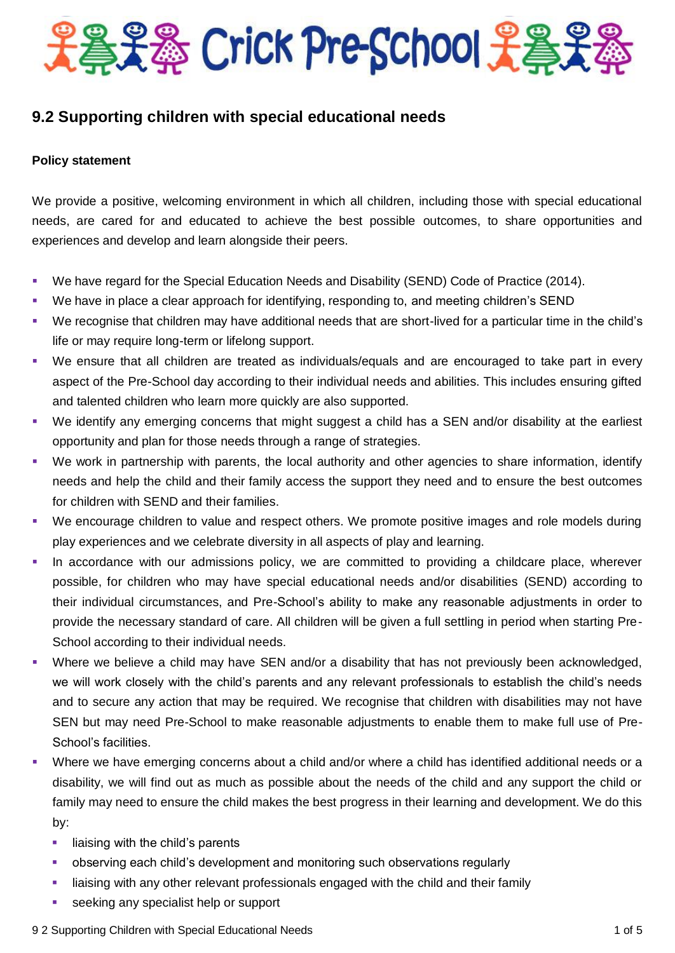

### **9.2 Supporting children with special educational needs**

#### **Policy statement**

We provide a positive, welcoming environment in which all children, including those with special educational needs, are cared for and educated to achieve the best possible outcomes, to share opportunities and experiences and develop and learn alongside their peers.

- We have regard for the Special Education Needs and Disability (SEND) Code of Practice (2014).
- We have in place a clear approach for identifying, responding to, and meeting children's SEND
- We recognise that children may have additional needs that are short-lived for a particular time in the child's life or may require long-term or lifelong support.
- We ensure that all children are treated as individuals/equals and are encouraged to take part in every aspect of the Pre-School day according to their individual needs and abilities. This includes ensuring gifted and talented children who learn more quickly are also supported.
- We identify any emerging concerns that might suggest a child has a SEN and/or disability at the earliest opportunity and plan for those needs through a range of strategies.
- We work in partnership with parents, the local authority and other agencies to share information, identify needs and help the child and their family access the support they need and to ensure the best outcomes for children with SEND and their families.
- We encourage children to value and respect others. We promote positive images and role models during play experiences and we celebrate diversity in all aspects of play and learning.
- In accordance with our admissions policy, we are committed to providing a childcare place, wherever possible, for children who may have special educational needs and/or disabilities (SEND) according to their individual circumstances, and Pre-School's ability to make any reasonable adjustments in order to provide the necessary standard of care. All children will be given a full settling in period when starting Pre-School according to their individual needs.
- Where we believe a child may have SEN and/or a disability that has not previously been acknowledged, we will work closely with the child's parents and any relevant professionals to establish the child's needs and to secure any action that may be required. We recognise that children with disabilities may not have SEN but may need Pre-School to make reasonable adjustments to enable them to make full use of Pre-School's facilities.
- Where we have emerging concerns about a child and/or where a child has identified additional needs or a disability, we will find out as much as possible about the needs of the child and any support the child or family may need to ensure the child makes the best progress in their learning and development. We do this by:
	- $\blacksquare$  liaising with the child's parents
	- observing each child's development and monitoring such observations regularly
	- **EXED** liaising with any other relevant professionals engaged with the child and their family
	- seeking any specialist help or support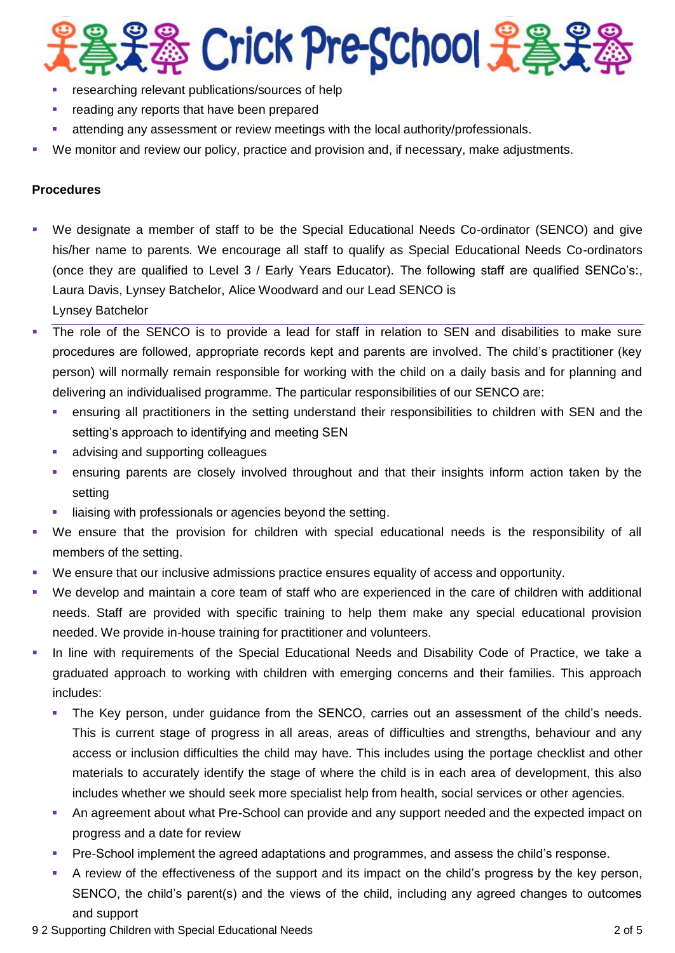

- researching relevant publications/sources of help
- **F** reading any reports that have been prepared
- attending any assessment or review meetings with the local authority/professionals.
- We monitor and review our policy, practice and provision and, if necessary, make adjustments.

#### **Procedures**

- We designate a member of staff to be the Special Educational Needs Co-ordinator (SENCO) and give his/her name to parents. We encourage all staff to qualify as Special Educational Needs Co-ordinators (once they are qualified to Level 3 / Early Years Educator). The following staff are qualified SENCo's:, Laura Davis, Lynsey Batchelor, Alice Woodward and our Lead SENCO is Lynsey Batchelor
- The role of the SENCO is to provide a lead for staff in relation to SEN and disabilities to make sure procedures are followed, appropriate records kept and parents are involved. The child's practitioner (key person) will normally remain responsible for working with the child on a daily basis and for planning and delivering an individualised programme. The particular responsibilities of our SENCO are:
	- ensuring all practitioners in the setting understand their responsibilities to children with SEN and the setting's approach to identifying and meeting SEN
	- **advising and supporting colleagues**
	- ensuring parents are closely involved throughout and that their insights inform action taken by the setting
	- liaising with professionals or agencies beyond the setting.
- We ensure that the provision for children with special educational needs is the responsibility of all members of the setting.
- We ensure that our inclusive admissions practice ensures equality of access and opportunity.
- We develop and maintain a core team of staff who are experienced in the care of children with additional needs. Staff are provided with specific training to help them make any special educational provision needed. We provide in-house training for practitioner and volunteers.
- In line with requirements of the Special Educational Needs and Disability Code of Practice, we take a graduated approach to working with children with emerging concerns and their families. This approach includes:
	- The Key person, under guidance from the SENCO, carries out an assessment of the child's needs. This is current stage of progress in all areas, areas of difficulties and strengths, behaviour and any access or inclusion difficulties the child may have. This includes using the portage checklist and other materials to accurately identify the stage of where the child is in each area of development, this also includes whether we should seek more specialist help from health, social services or other agencies.
	- An agreement about what Pre-School can provide and any support needed and the expected impact on progress and a date for review
	- Pre-School implement the agreed adaptations and programmes, and assess the child's response.
	- A review of the effectiveness of the support and its impact on the child's progress by the key person, SENCO, the child's parent(s) and the views of the child, including any agreed changes to outcomes and support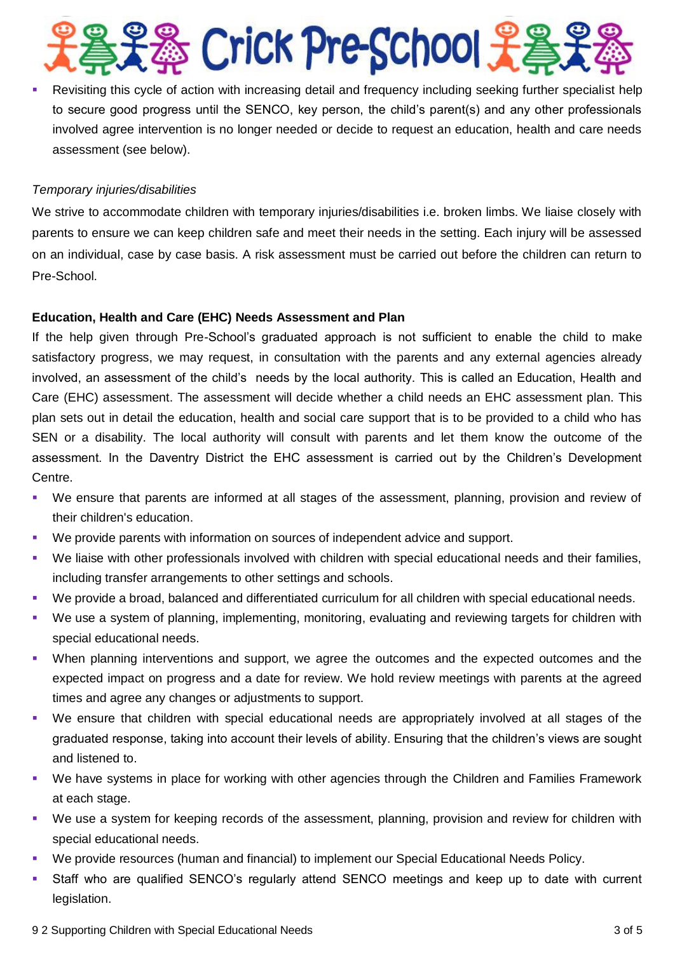## **& Crick Pre-School 先生**

 Revisiting this cycle of action with increasing detail and frequency including seeking further specialist help to secure good progress until the SENCO, key person, the child's parent(s) and any other professionals involved agree intervention is no longer needed or decide to request an education, health and care needs assessment (see below).

#### *Temporary injuries/disabilities*

We strive to accommodate children with temporary injuries/disabilities i.e. broken limbs. We liaise closely with parents to ensure we can keep children safe and meet their needs in the setting. Each injury will be assessed on an individual, case by case basis. A risk assessment must be carried out before the children can return to Pre-School.

#### **Education, Health and Care (EHC) Needs Assessment and Plan**

If the help given through Pre-School's graduated approach is not sufficient to enable the child to make satisfactory progress, we may request, in consultation with the parents and any external agencies already involved, an assessment of the child's needs by the local authority. This is called an Education, Health and Care (EHC) assessment. The assessment will decide whether a child needs an EHC assessment plan. This plan sets out in detail the education, health and social care support that is to be provided to a child who has SEN or a disability. The local authority will consult with parents and let them know the outcome of the assessment. In the Daventry District the EHC assessment is carried out by the Children's Development Centre.

- We ensure that parents are informed at all stages of the assessment, planning, provision and review of their children's education.
- We provide parents with information on sources of independent advice and support.
- We liaise with other professionals involved with children with special educational needs and their families, including transfer arrangements to other settings and schools.
- We provide a broad, balanced and differentiated curriculum for all children with special educational needs.
- We use a system of planning, implementing, monitoring, evaluating and reviewing targets for children with special educational needs.
- When planning interventions and support, we agree the outcomes and the expected outcomes and the expected impact on progress and a date for review. We hold review meetings with parents at the agreed times and agree any changes or adjustments to support.
- We ensure that children with special educational needs are appropriately involved at all stages of the graduated response, taking into account their levels of ability. Ensuring that the children's views are sought and listened to.
- We have systems in place for working with other agencies through the Children and Families Framework at each stage.
- We use a system for keeping records of the assessment, planning, provision and review for children with special educational needs.
- We provide resources (human and financial) to implement our Special Educational Needs Policy.
- Staff who are qualified SENCO's regularly attend SENCO meetings and keep up to date with current legislation.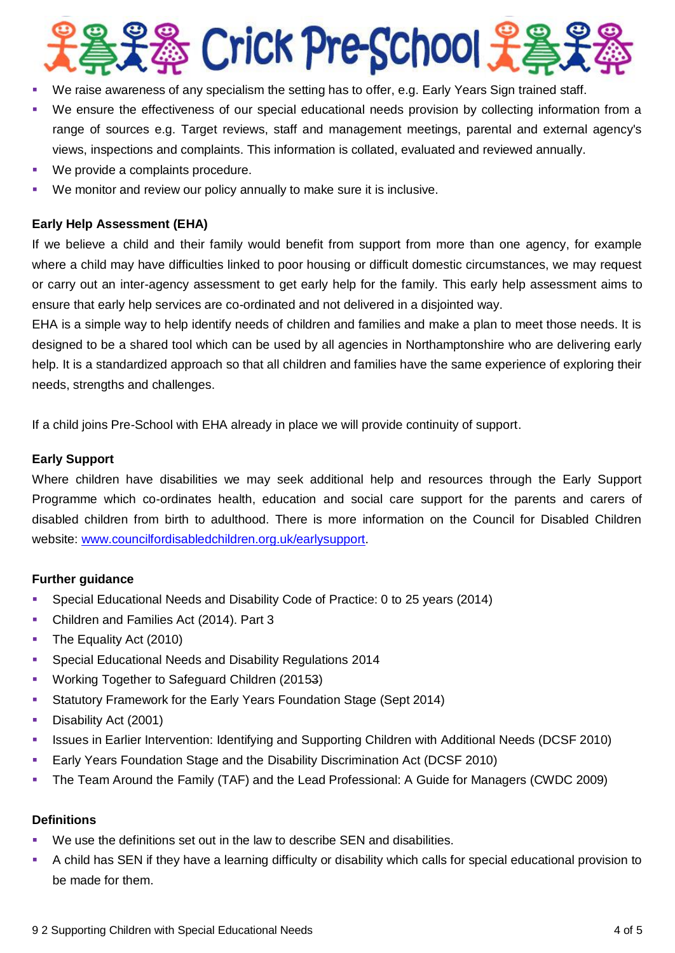

- We raise awareness of any specialism the setting has to offer, e.g. Early Years Sign trained staff.
- We ensure the effectiveness of our special educational needs provision by collecting information from a range of sources e.g. Target reviews, staff and management meetings, parental and external agency's views, inspections and complaints. This information is collated, evaluated and reviewed annually.
- **We provide a complaints procedure.**
- We monitor and review our policy annually to make sure it is inclusive.

#### **Early Help Assessment (EHA)**

If we believe a child and their family would benefit from support from more than one agency, for example where a child may have difficulties linked to poor housing or difficult domestic circumstances, we may request or carry out an inter-agency assessment to get early help for the family. This early help assessment aims to ensure that early help services are co-ordinated and not delivered in a disjointed way.

EHA is a simple way to help identify needs of children and families and make a plan to meet those needs. It is designed to be a shared tool which can be used by all agencies in Northamptonshire who are delivering early help. It is a standardized approach so that all children and families have the same experience of exploring their needs, strengths and challenges.

If a child joins Pre-School with EHA already in place we will provide continuity of support.

#### **Early Support**

Where children have disabilities we may seek additional help and resources through the Early Support Programme which co-ordinates health, education and social care support for the parents and carers of disabled children from birth to adulthood. There is more information on the Council for Disabled Children website: [www.councilfordisabledchildren.org.uk/earlysupport.](http://www.councilfordisabledchildren.org.uk/earlysupport)

#### **Further guidance**

- Special Educational Needs and Disability Code of Practice: 0 to 25 years (2014)
- **Children and Families Act (2014). Part 3**
- The Equality Act (2010)
- **Special Educational Needs and Disability Regulations 2014**
- **Working Together to Safeguard Children (20153)**
- Statutory Framework for the Early Years Foundation Stage (Sept 2014)
- Disability Act (2001)
- **In Its issues in Earlier Intervention: Identifying and Supporting Children with Additional Needs (DCSF 2010)**
- Early Years Foundation Stage and the Disability Discrimination Act (DCSF 2010)
- The Team Around the Family (TAF) and the Lead Professional: A Guide for Managers (CWDC 2009)

#### **Definitions**

- We use the definitions set out in the law to describe SEN and disabilities.
- A child has SEN if they have a learning difficulty or disability which calls for special educational provision to be made for them.